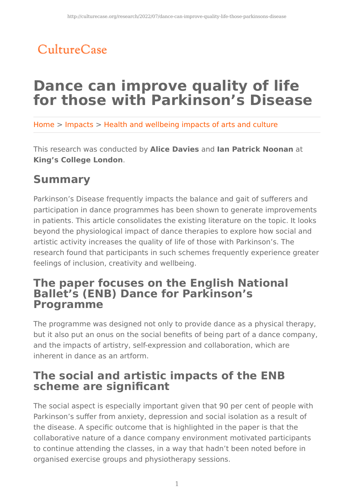# CultureCase

# **Dance can improve quality of life for those with Parkinson's Disease**

Home > Impacts > Health and wellbeing impacts of arts and culture

This research was conducted by **Alice Davies** and **Ian Patrick Noonan** at **King's College London**.

## **Summary**

Parkinson's Disease frequently impacts the balance and gait of sufferers and participation in dance programmes has been shown to generate improvements in patients. This article consolidates the existing literature on the topic. It looks beyond the physiological impact of dance therapies to explore how social and artistic activity increases the quality of life of those with Parkinson's. The research found that participants in such schemes frequently experience greater feelings of inclusion, creativity and wellbeing.

### **The paper focuses on the English National Ballet's (ENB) Dance for Parkinson's Programme**

The programme was designed not only to provide dance as a physical therapy, but it also put an onus on the social benefits of being part of a dance company, and the impacts of artistry, self-expression and collaboration, which are inherent in dance as an artform.

## **The social and artistic impacts of the ENB scheme are significant**

The social aspect is especially important given that 90 per cent of people with Parkinson's suffer from anxiety, depression and social isolation as a result of the disease. A specific outcome that is highlighted in the paper is that the collaborative nature of a dance company environment motivated participants to continue attending the classes, in a way that hadn't been noted before in organised exercise groups and physiotherapy sessions.